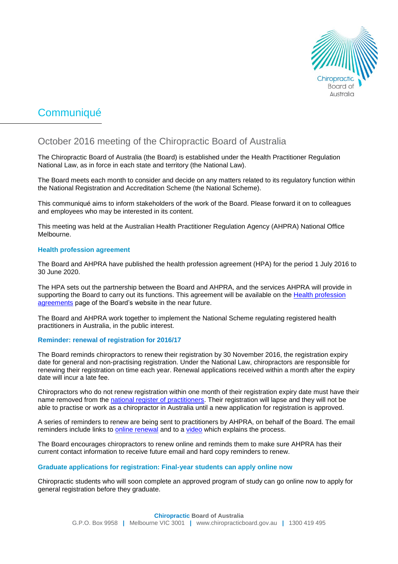

# Communiqué

# October 2016 meeting of the Chiropractic Board of Australia

The Chiropractic Board of Australia (the Board) is established under the Health Practitioner Regulation National Law, as in force in each state and territory (the National Law).

The Board meets each month to consider and decide on any matters related to its regulatory function within the National Registration and Accreditation Scheme (the National Scheme).

This communiqué aims to inform stakeholders of the work of the Board. Please forward it on to colleagues and employees who may be interested in its content.

This meeting was held at the Australian Health Practitioner Regulation Agency (AHPRA) National Office Melbourne.

## **Health profession agreement**

The Board and AHPRA have published the health profession agreement (HPA) for the period 1 July 2016 to 30 June 2020.

The HPA sets out the partnership between the Board and AHPRA, and the services AHPRA will provide in supporting the Board to carry out its functions. This agreement will be available on the Health profession [agreements](http://www.chiropracticboard.gov.au/News/2015-10-14-media-release.aspx) page of the Board's website in the near future.

The Board and AHPRA work together to implement the National Scheme regulating registered health practitioners in Australia, in the public interest.

# **Reminder: renewal of registration for 2016/17**

The Board reminds chiropractors to renew their registration by 30 November 2016, the registration expiry date for general and non-practising registration. Under the National Law, chiropractors are responsible for renewing their registration on time each year. Renewal applications received within a month after the expiry date will incur a late fee.

Chiropractors who do not renew registration within one month of their registration expiry date must have their name removed from the [national register of practitioners.](http://www.ahpra.gov.au/Registration/Registers-of-Practitioners.aspx) Their registration will lapse and they will not be able to practise or work as a chiropractor in Australia until a new application for registration is approved.

A series of reminders to renew are being sent to practitioners by AHPRA, on behalf of the Board. The email reminders include links to [online renewal](https://www.ahpra.gov.au/Login.aspx) and to a [video](http://www.ahpra.gov.au/Registration/Practitioner-Services.aspx#renew) which explains the process.

The Board encourages chiropractors to renew online and reminds them to make sure AHPRA has their current contact information to receive future email and hard copy reminders to renew.

#### **Graduate applications for registration: Final-year students can apply online now**

Chiropractic students who will soon complete an approved program of study can go online now to apply for general registration before they graduate.